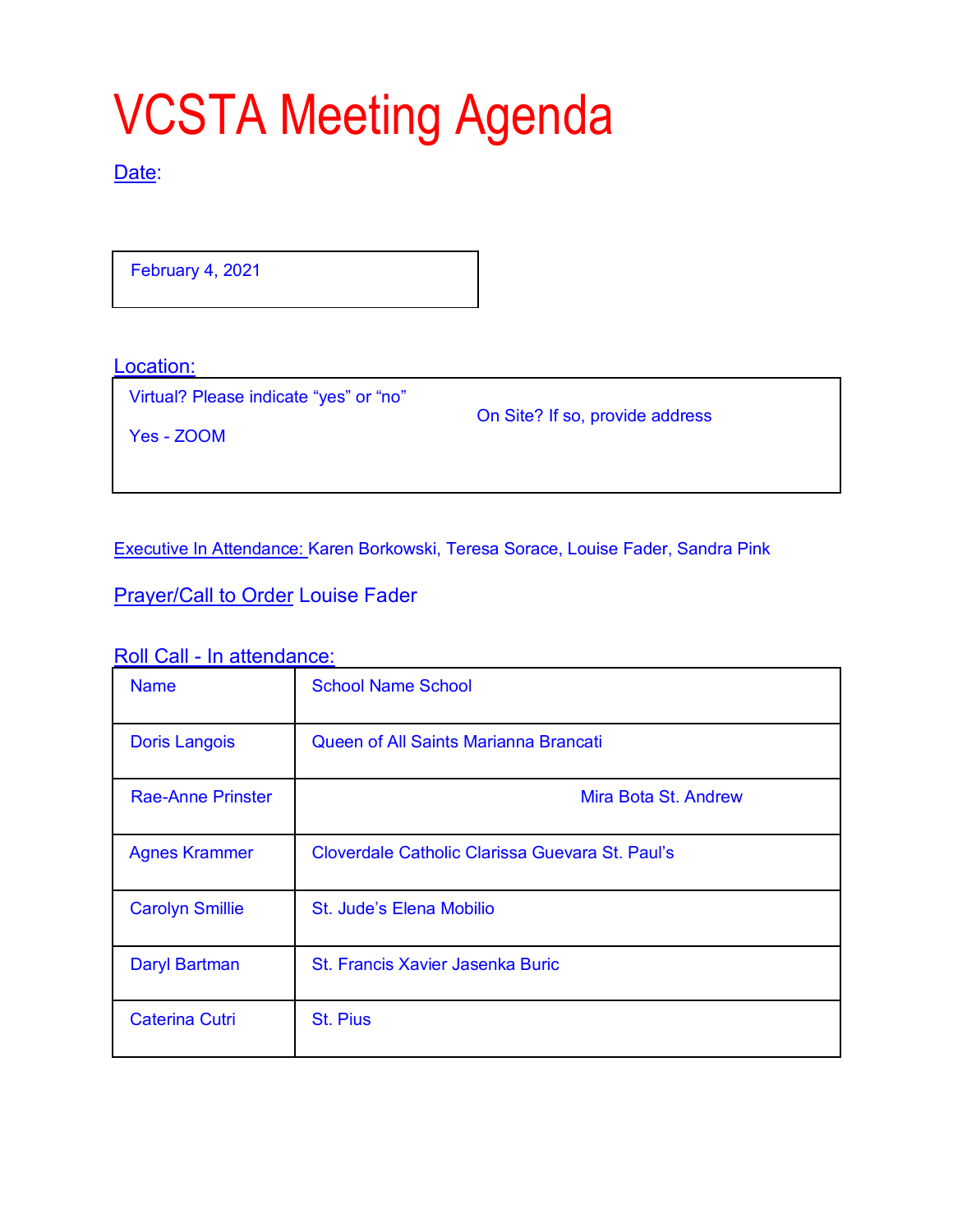# VCSTA Meeting Agenda

### Date:

February 4, 2021

Location:

Virtual? Please indicate "yes" or "no"

On Site? If so, provide address

Yes - ZOOM

Executive In Attendance: Karen Borkowski, Teresa Sorace, Louise Fader, Sandra Pink

Prayer/Call to Order Louise Fader

Roll Call - In attendance:

| <b>Name</b>              | <b>School Name School</b>                       |
|--------------------------|-------------------------------------------------|
| <b>Doris Langois</b>     | Queen of All Saints Marianna Brancati           |
| <b>Rae-Anne Prinster</b> | Mira Bota St. Andrew                            |
| <b>Agnes Krammer</b>     | Cloverdale Catholic Clarissa Guevara St. Paul's |
| <b>Carolyn Smillie</b>   | St. Jude's Elena Mobilio                        |
| Daryl Bartman            | St. Francis Xavier Jasenka Buric                |
| <b>Caterina Cutri</b>    | <b>St. Pius</b>                                 |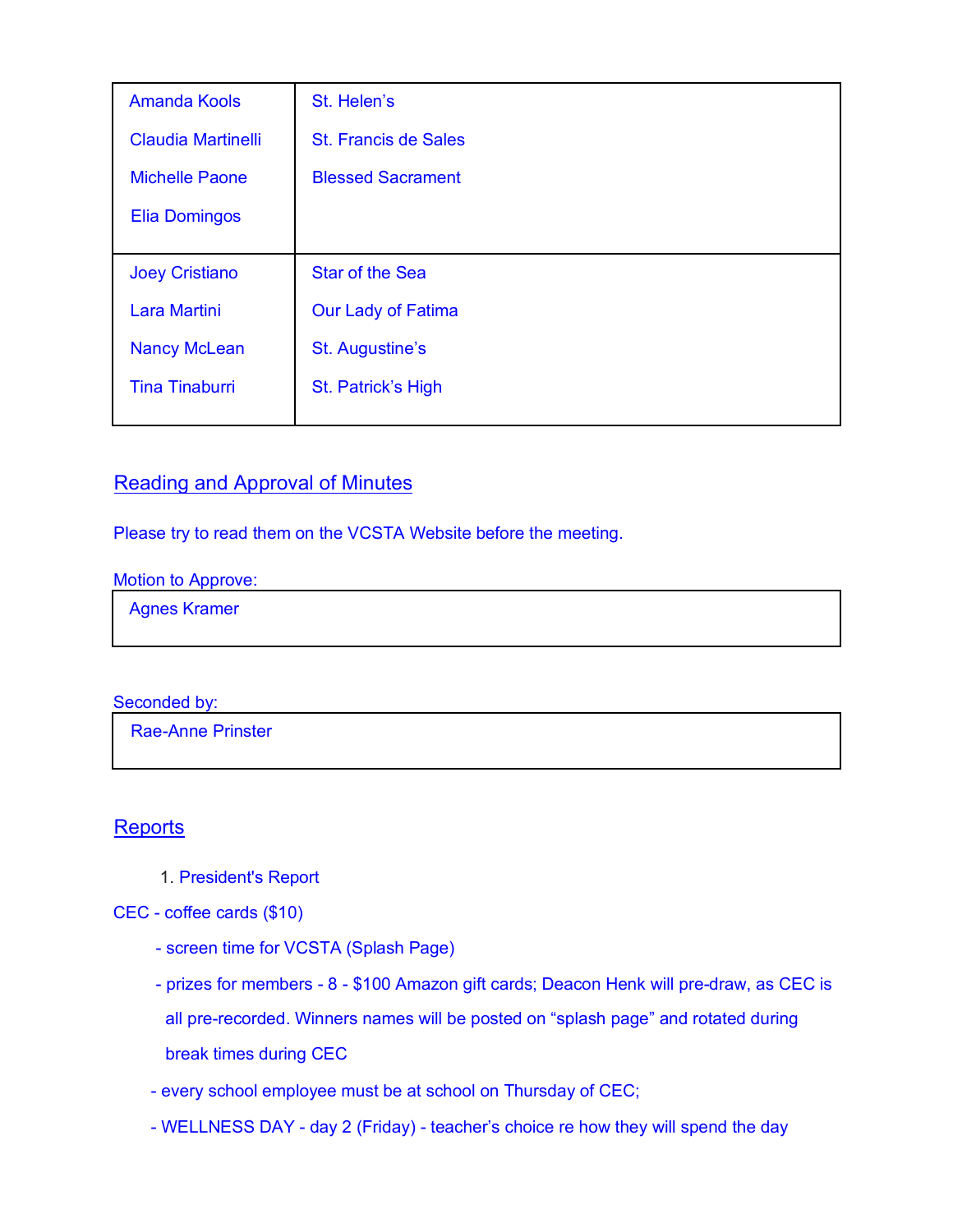| <b>Amanda Kools</b>       | St. Helen's                 |
|---------------------------|-----------------------------|
| <b>Claudia Martinelli</b> | <b>St. Francis de Sales</b> |
| <b>Michelle Paone</b>     | <b>Blessed Sacrament</b>    |
| <b>Elia Domingos</b>      |                             |
|                           |                             |
| <b>Joey Cristiano</b>     | <b>Star of the Sea</b>      |
| <b>Lara Martini</b>       | <b>Our Lady of Fatima</b>   |
| <b>Nancy McLean</b>       | St. Augustine's             |
| <b>Tina Tinaburri</b>     | St. Patrick's High          |
|                           |                             |

## Reading and Approval of Minutes

Please try to read them on the VCSTA Website before the meeting.

#### Motion to Approve:

Agnes Kramer

#### Seconded by:

Rae-Anne Prinster

## **Reports**

1. President's Report

CEC - coffee cards (\$10)

- screen time for VCSTA (Splash Page)
- prizes for members 8 \$100 Amazon gift cards; Deacon Henk will pre-draw, as CEC is all pre-recorded. Winners names will be posted on "splash page" and rotated during break times during CEC
- every school employee must be at school on Thursday of CEC;
- WELLNESS DAY day 2 (Friday) teacher's choice re how they will spend the day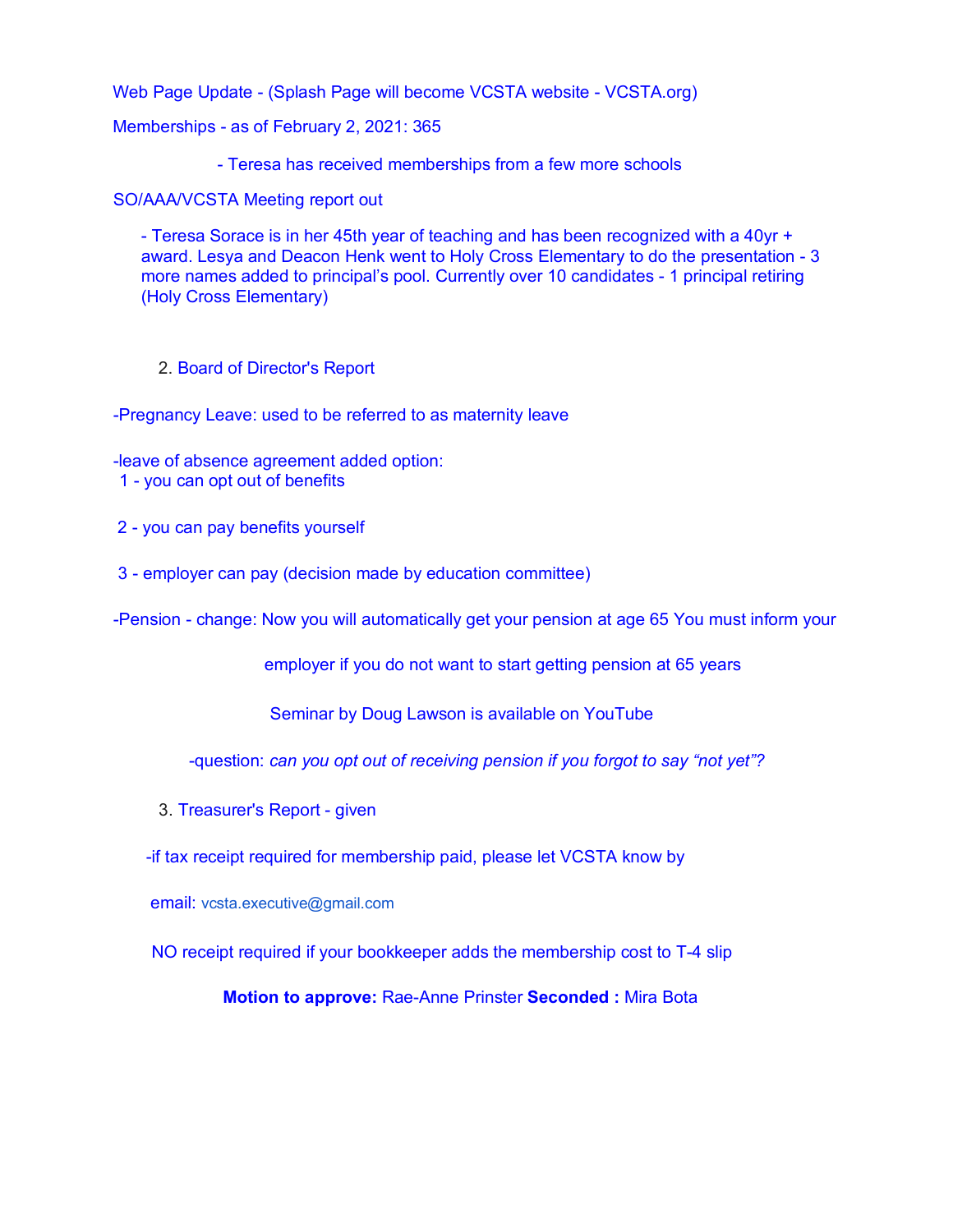Web Page Update - (Splash Page will become VCSTA website - VCSTA.org)

Memberships - as of February 2, 2021: 365

- Teresa has received memberships from a few more schools

SO/AAA/VCSTA Meeting report out

- Teresa Sorace is in her 45th year of teaching and has been recognized with a 40yr + award. Lesya and Deacon Henk went to Holy Cross Elementary to do the presentation - 3 more names added to principal's pool. Currently over 10 candidates - 1 principal retiring (Holy Cross Elementary)

2. Board of Director's Report

-Pregnancy Leave: used to be referred to as maternity leave

-leave of absence agreement added option:

- 1 you can opt out of benefits
- 2 you can pay benefits yourself
- 3 employer can pay (decision made by education committee)

-Pension - change: Now you will automatically get your pension at age 65 You must inform your

employer if you do not want to start getting pension at 65 years

Seminar by Doug Lawson is available on YouTube

-question: *can you opt out of receiving pension if you forgot to say "not yet"?* 

3. Treasurer's Report - given

-if tax receipt required for membership paid, please let VCSTA know by

email: vcsta.executive@gmail.com

NO receipt required if your bookkeeper adds the membership cost to T-4 slip

**Motion to approve:** Rae-Anne Prinster **Seconded :** Mira Bota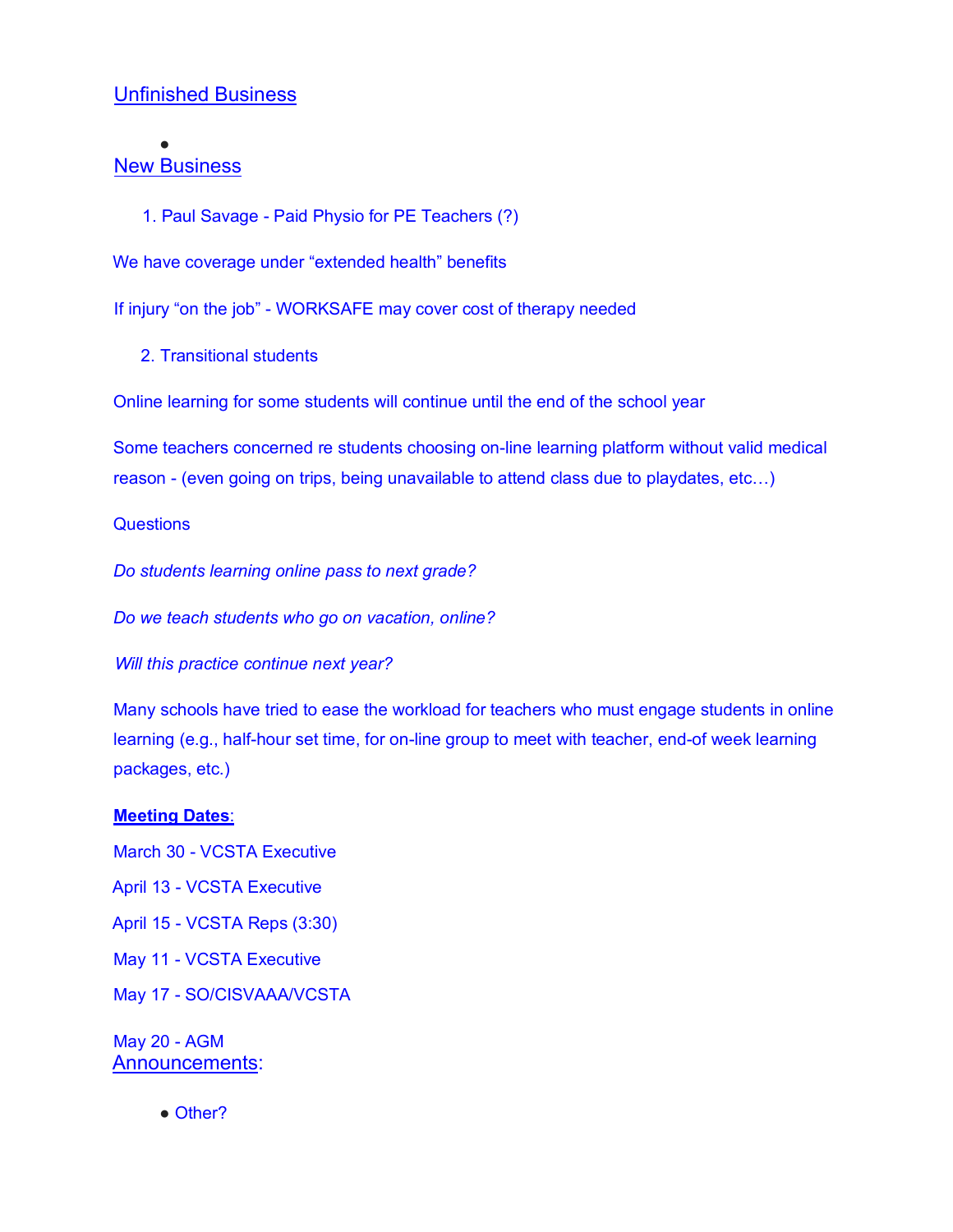## Unfinished Business

## New Business

●

1. Paul Savage - Paid Physio for PE Teachers (?)

We have coverage under "extended health" benefits

If injury "on the job" - WORKSAFE may cover cost of therapy needed

2. Transitional students

Online learning for some students will continue until the end of the school year

Some teachers concerned re students choosing on-line learning platform without valid medical reason - (even going on trips, being unavailable to attend class due to playdates, etc…)

#### **Questions**

*Do students learning online pass to next grade?* 

*Do we teach students who go on vacation, online?* 

*Will this practice continue next year?* 

Many schools have tried to ease the workload for teachers who must engage students in online learning (e.g., half-hour set time, for on-line group to meet with teacher, end-of week learning packages, etc.)

#### **Meeting Dates**:

March 30 - VCSTA Executive

- April 13 VCSTA Executive
- April 15 VCSTA Reps (3:30)
- May 11 VCSTA Executive
- May 17 SO/CISVAAA/VCSTA

May 20 - AGM Announcements:

• Other?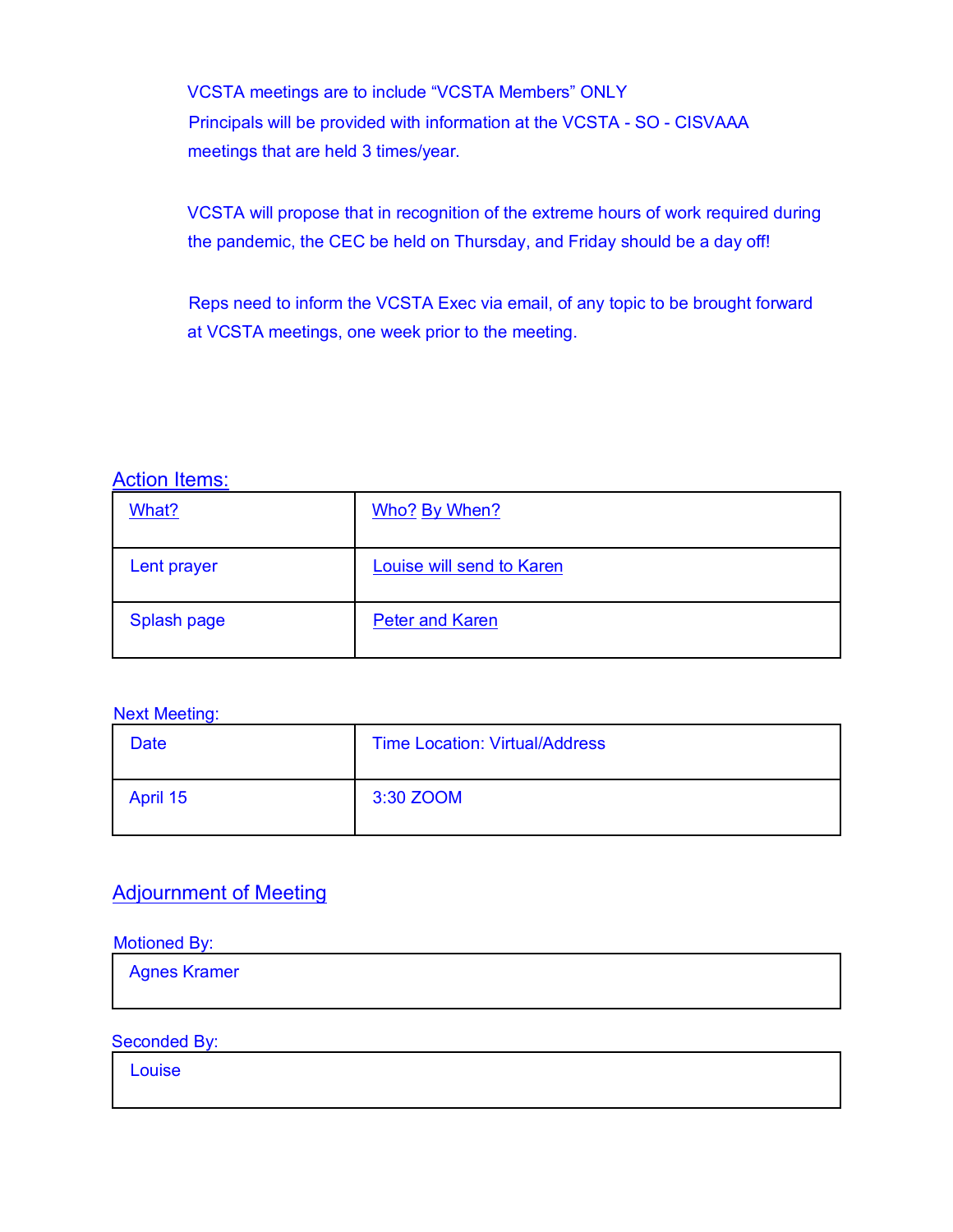VCSTA meetings are to include "VCSTA Members" ONLY Principals will be provided with information at the VCSTA - SO - CISVAAA meetings that are held 3 times/year.

VCSTA will propose that in recognition of the extreme hours of work required during the pandemic, the CEC be held on Thursday, and Friday should be a day off!

Reps need to inform the VCSTA Exec via email, of any topic to be brought forward at VCSTA meetings, one week prior to the meeting.

Action Items:

| What?       | Who? By When?             |
|-------------|---------------------------|
| Lent prayer | Louise will send to Karen |
| Splash page | <b>Peter and Karen</b>    |

Next Meeting:

| Date     | <b>Time Location: Virtual/Address</b> |
|----------|---------------------------------------|
| April 15 | 3:30 ZOOM                             |

## Adjournment of Meeting

Motioned By:

Agnes Kramer

Seconded By:

Louise